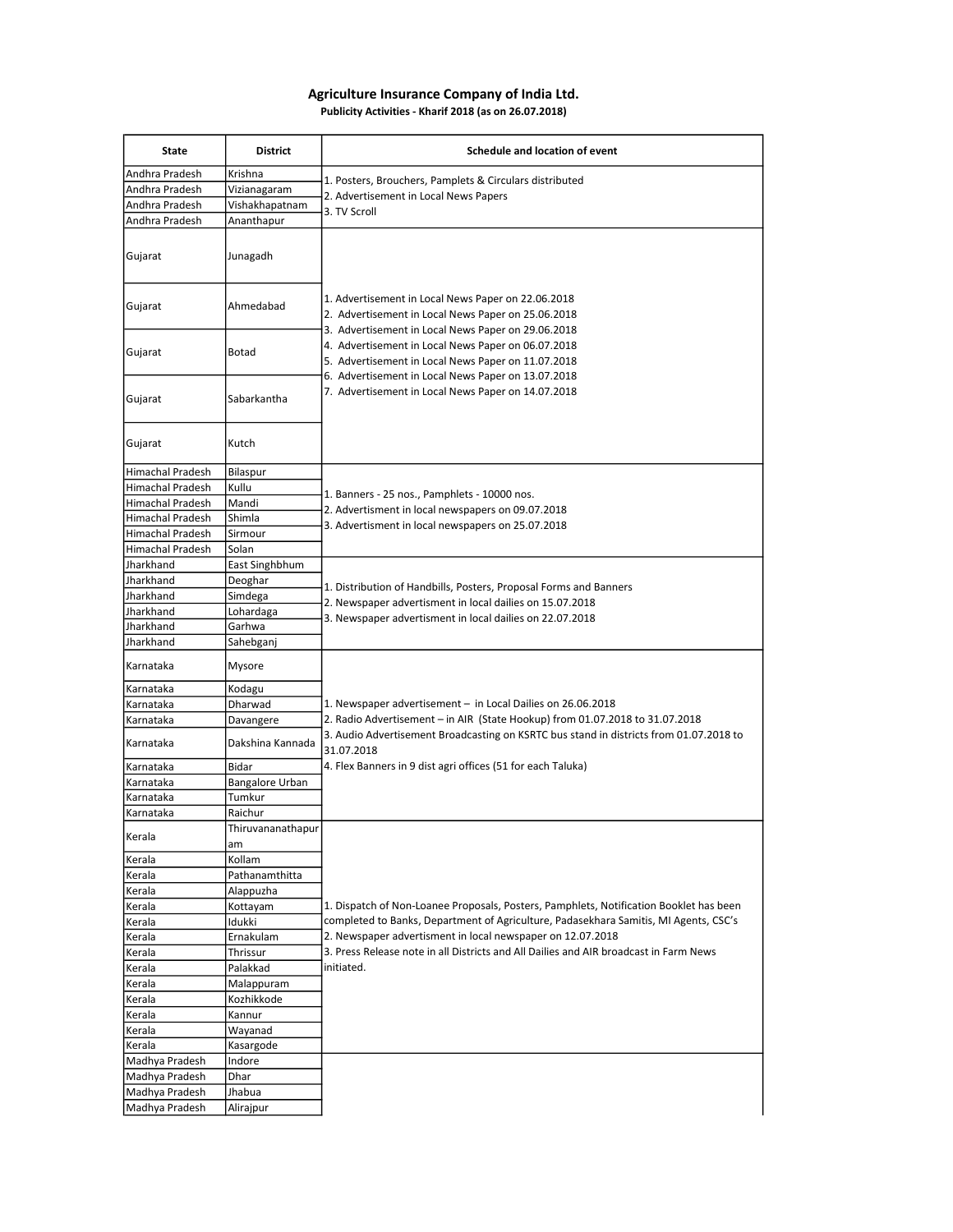## Agriculture Insurance Company of India Ltd. Publicity Activities - Kharif 2018 (as on 26.07.2018)

| State                   | <b>District</b>         | Schedule and location of event                                                                                                                                                                                                                                                                                                                                                         |
|-------------------------|-------------------------|----------------------------------------------------------------------------------------------------------------------------------------------------------------------------------------------------------------------------------------------------------------------------------------------------------------------------------------------------------------------------------------|
| Andhra Pradesh          | Krishna                 |                                                                                                                                                                                                                                                                                                                                                                                        |
| Andhra Pradesh          | Vizianagaram            | 1. Posters, Brouchers, Pamplets & Circulars distributed<br>2. Advertisement in Local News Papers<br>3. TV Scroll                                                                                                                                                                                                                                                                       |
| Andhra Pradesh          | Vishakhapatnam          |                                                                                                                                                                                                                                                                                                                                                                                        |
| Andhra Pradesh          | Ananthapur              |                                                                                                                                                                                                                                                                                                                                                                                        |
| Gujarat                 | Junagadh                |                                                                                                                                                                                                                                                                                                                                                                                        |
| Gujarat                 | Ahmedabad               | 1. Advertisement in Local News Paper on 22.06.2018<br>2. Advertisement in Local News Paper on 25.06.2018<br>3. Advertisement in Local News Paper on 29.06.2018<br>4. Advertisement in Local News Paper on 06.07.2018<br>5. Advertisement in Local News Paper on 11.07.2018<br>6. Advertisement in Local News Paper on 13.07.2018<br>7. Advertisement in Local News Paper on 14.07.2018 |
| Gujarat                 | Botad                   |                                                                                                                                                                                                                                                                                                                                                                                        |
| Gujarat                 | Sabarkantha             |                                                                                                                                                                                                                                                                                                                                                                                        |
| Gujarat                 | Kutch                   |                                                                                                                                                                                                                                                                                                                                                                                        |
| Himachal Pradesh        | Bilaspur                |                                                                                                                                                                                                                                                                                                                                                                                        |
| <b>Himachal Pradesh</b> | Kullu                   | 1. Banners - 25 nos., Pamphlets - 10000 nos.                                                                                                                                                                                                                                                                                                                                           |
| Himachal Pradesh        | Mandi                   | 2. Advertisment in local newspapers on 09.07.2018                                                                                                                                                                                                                                                                                                                                      |
| <b>Himachal Pradesh</b> | Shimla                  | 3. Advertisment in local newspapers on 25.07.2018                                                                                                                                                                                                                                                                                                                                      |
| <b>Himachal Pradesh</b> | Sirmour                 |                                                                                                                                                                                                                                                                                                                                                                                        |
| Himachal Pradesh        | Solan                   |                                                                                                                                                                                                                                                                                                                                                                                        |
| Jharkhand               | East Singhbhum          |                                                                                                                                                                                                                                                                                                                                                                                        |
| Jharkhand               | Deoghar                 | 1. Distribution of Handbills, Posters, Proposal Forms and Banners                                                                                                                                                                                                                                                                                                                      |
| Jharkhand               | Simdega                 | 2. Newspaper advertisment in local dailies on 15.07.2018                                                                                                                                                                                                                                                                                                                               |
| Jharkhand               | Lohardaga               | 3. Newspaper advertisment in local dailies on 22.07.2018                                                                                                                                                                                                                                                                                                                               |
| Jharkhand               | Garhwa                  |                                                                                                                                                                                                                                                                                                                                                                                        |
| Jharkhand               | Sahebganj               |                                                                                                                                                                                                                                                                                                                                                                                        |
| Karnataka               | Mysore                  |                                                                                                                                                                                                                                                                                                                                                                                        |
| Karnataka               | Kodagu                  |                                                                                                                                                                                                                                                                                                                                                                                        |
| Karnataka               | Dharwad                 | 1. Newspaper advertisement - in Local Dailies on 26.06.2018                                                                                                                                                                                                                                                                                                                            |
| Karnataka               | Davangere               | 2. Radio Advertisement - in AIR (State Hookup) from 01.07.2018 to 31.07.2018                                                                                                                                                                                                                                                                                                           |
| Karnataka               | Dakshina Kannada        | 3. Audio Advertisement Broadcasting on KSRTC bus stand in districts from 01.07.2018 to<br>31.07.2018                                                                                                                                                                                                                                                                                   |
| Karnataka               | Bidar                   | 4. Flex Banners in 9 dist agri offices (51 for each Taluka)                                                                                                                                                                                                                                                                                                                            |
| Karnataka               | Bangalore Urban         |                                                                                                                                                                                                                                                                                                                                                                                        |
| Karnataka               | Tumkur                  |                                                                                                                                                                                                                                                                                                                                                                                        |
| Karnataka               | Raichur                 |                                                                                                                                                                                                                                                                                                                                                                                        |
| Kerala                  | Thiruvananathapur<br>am |                                                                                                                                                                                                                                                                                                                                                                                        |
| Kerala                  | Kollam                  |                                                                                                                                                                                                                                                                                                                                                                                        |
| Kerala                  | Pathanamthitta          |                                                                                                                                                                                                                                                                                                                                                                                        |
| Kerala                  | Alappuzha               |                                                                                                                                                                                                                                                                                                                                                                                        |
| Kerala                  | Kottayam                | 1. Dispatch of Non-Loanee Proposals, Posters, Pamphlets, Notification Booklet has been                                                                                                                                                                                                                                                                                                 |
| Kerala                  | Idukki                  | completed to Banks, Department of Agriculture, Padasekhara Samitis, MI Agents, CSC's                                                                                                                                                                                                                                                                                                   |
| Kerala                  | Ernakulam               | 2. Newspaper advertisment in local newspaper on 12.07.2018                                                                                                                                                                                                                                                                                                                             |
| Kerala                  | Thrissur                | 3. Press Release note in all Districts and All Dailies and AIR broadcast in Farm News                                                                                                                                                                                                                                                                                                  |
| Kerala                  | Palakkad                | initiated.                                                                                                                                                                                                                                                                                                                                                                             |
| Kerala                  | Malappuram              |                                                                                                                                                                                                                                                                                                                                                                                        |
| Kerala                  | Kozhikkode              |                                                                                                                                                                                                                                                                                                                                                                                        |
| Kerala                  | Kannur                  |                                                                                                                                                                                                                                                                                                                                                                                        |
| Kerala                  | Wayanad                 |                                                                                                                                                                                                                                                                                                                                                                                        |
| Kerala                  | Kasargode               |                                                                                                                                                                                                                                                                                                                                                                                        |
| Madhya Pradesh          | Indore                  |                                                                                                                                                                                                                                                                                                                                                                                        |
| Madhya Pradesh          | Dhar                    |                                                                                                                                                                                                                                                                                                                                                                                        |
| Madhya Pradesh          | Jhabua                  |                                                                                                                                                                                                                                                                                                                                                                                        |
| Madhya Pradesh          | Alirajpur               |                                                                                                                                                                                                                                                                                                                                                                                        |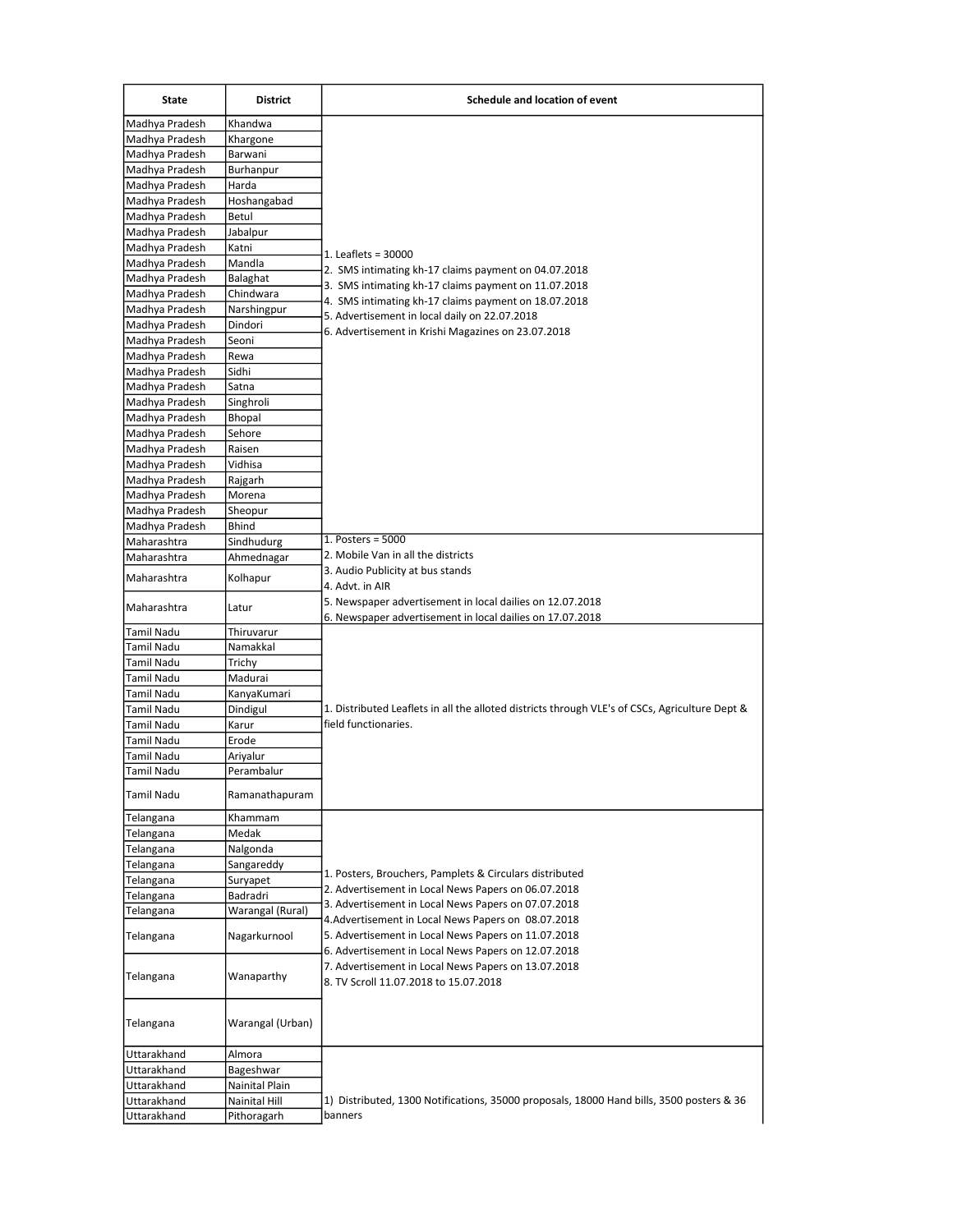| <b>State</b>      | <b>District</b>  | Schedule and location of event                                                                                                                                                                                                                                    |
|-------------------|------------------|-------------------------------------------------------------------------------------------------------------------------------------------------------------------------------------------------------------------------------------------------------------------|
| Madhya Pradesh    | Khandwa          | 1. Leaflets = 30000                                                                                                                                                                                                                                               |
| Madhya Pradesh    | Khargone         |                                                                                                                                                                                                                                                                   |
| Madhya Pradesh    | Barwani          |                                                                                                                                                                                                                                                                   |
| Madhya Pradesh    | Burhanpur        |                                                                                                                                                                                                                                                                   |
| Madhya Pradesh    | Harda            |                                                                                                                                                                                                                                                                   |
| Madhya Pradesh    | Hoshangabad      |                                                                                                                                                                                                                                                                   |
| Madhya Pradesh    | Betul            |                                                                                                                                                                                                                                                                   |
| Madhya Pradesh    | Jabalpur         |                                                                                                                                                                                                                                                                   |
| Madhya Pradesh    | Katni            |                                                                                                                                                                                                                                                                   |
| Madhya Pradesh    | Mandla           | 2. SMS intimating kh-17 claims payment on 04.07.2018                                                                                                                                                                                                              |
| Madhya Pradesh    | Balaghat         | 3. SMS intimating kh-17 claims payment on 11.07.2018<br>4. SMS intimating kh-17 claims payment on 18.07.2018<br>5. Advertisement in local daily on 22.07.2018<br>6. Advertisement in Krishi Magazines on 23.07.2018                                               |
| Madhya Pradesh    | Chindwara        |                                                                                                                                                                                                                                                                   |
| Madhya Pradesh    | Narshingpur      |                                                                                                                                                                                                                                                                   |
| Madhya Pradesh    | Dindori          |                                                                                                                                                                                                                                                                   |
| Madhya Pradesh    | Seoni            |                                                                                                                                                                                                                                                                   |
| Madhya Pradesh    | Rewa             |                                                                                                                                                                                                                                                                   |
| Madhya Pradesh    | Sidhi            |                                                                                                                                                                                                                                                                   |
| Madhya Pradesh    | Satna            |                                                                                                                                                                                                                                                                   |
| Madhya Pradesh    | Singhroli        |                                                                                                                                                                                                                                                                   |
| Madhya Pradesh    | Bhopal           |                                                                                                                                                                                                                                                                   |
| Madhya Pradesh    | Sehore           |                                                                                                                                                                                                                                                                   |
| Madhya Pradesh    | Raisen           |                                                                                                                                                                                                                                                                   |
| Madhya Pradesh    | Vidhisa          |                                                                                                                                                                                                                                                                   |
| Madhya Pradesh    | Rajgarh          |                                                                                                                                                                                                                                                                   |
| Madhya Pradesh    | Morena           |                                                                                                                                                                                                                                                                   |
| Madhya Pradesh    | Sheopur          |                                                                                                                                                                                                                                                                   |
| Madhya Pradesh    | <b>Bhind</b>     | 1. Posters = $5000$                                                                                                                                                                                                                                               |
| Maharashtra       | Sindhudurg       | 2. Mobile Van in all the districts                                                                                                                                                                                                                                |
| Maharashtra       | Ahmednagar       | 3. Audio Publicity at bus stands                                                                                                                                                                                                                                  |
| Maharashtra       | Kolhapur         | 4. Advt. in AIR                                                                                                                                                                                                                                                   |
|                   |                  | 5. Newspaper advertisement in local dailies on 12.07.2018                                                                                                                                                                                                         |
| Maharashtra       | Latur            | 6. Newspaper advertisement in local dailies on 17.07.2018                                                                                                                                                                                                         |
| <b>Tamil Nadu</b> | Thiruvarur       |                                                                                                                                                                                                                                                                   |
| <b>Tamil Nadu</b> | Namakkal         |                                                                                                                                                                                                                                                                   |
| <b>Tamil Nadu</b> | Trichy           |                                                                                                                                                                                                                                                                   |
| <b>Tamil Nadu</b> | Madurai          |                                                                                                                                                                                                                                                                   |
| <b>Tamil Nadu</b> | KanyaKumari      |                                                                                                                                                                                                                                                                   |
| Tamil Nadu        | Dindigul         | 1. Distributed Leaflets in all the alloted districts through VLE's of CSCs, Agriculture Dept &                                                                                                                                                                    |
| <b>Tamil Nadu</b> | Karur            | field functionaries.                                                                                                                                                                                                                                              |
| <b>Tamil Nadu</b> | Erode            |                                                                                                                                                                                                                                                                   |
| <b>Tamil Nadu</b> | Ariyalur         |                                                                                                                                                                                                                                                                   |
| <b>Tamil Nadu</b> | Perambalur       |                                                                                                                                                                                                                                                                   |
|                   |                  |                                                                                                                                                                                                                                                                   |
| Tamil Nadu        | Ramanathapuram   |                                                                                                                                                                                                                                                                   |
| Telangana         | Khammam          |                                                                                                                                                                                                                                                                   |
| Telangana         | Medak            |                                                                                                                                                                                                                                                                   |
| Telangana         | Nalgonda         |                                                                                                                                                                                                                                                                   |
| Telangana         | Sangareddy       |                                                                                                                                                                                                                                                                   |
| Telangana         | Suryapet         | 1. Posters, Brouchers, Pamplets & Circulars distributed                                                                                                                                                                                                           |
| Telangana         | Badradri         | 2. Advertisement in Local News Papers on 06.07.2018                                                                                                                                                                                                               |
| Telangana         | Warangal (Rural) | 3. Advertisement in Local News Papers on 07.07.2018                                                                                                                                                                                                               |
| Telangana         | Nagarkurnool     | 4. Advertisement in Local News Papers on 08.07.2018<br>5. Advertisement in Local News Papers on 11.07.2018<br>6. Advertisement in Local News Papers on 12.07.2018<br>7. Advertisement in Local News Papers on 13.07.2018<br>8. TV Scroll 11.07.2018 to 15.07.2018 |
| Telangana         | Wanaparthy       |                                                                                                                                                                                                                                                                   |
| Telangana         | Warangal (Urban) |                                                                                                                                                                                                                                                                   |
| Uttarakhand       | Almora           |                                                                                                                                                                                                                                                                   |
| Uttarakhand       | Bageshwar        |                                                                                                                                                                                                                                                                   |
| Uttarakhand       | Nainital Plain   |                                                                                                                                                                                                                                                                   |
| Uttarakhand       | Nainital Hill    | 1) Distributed, 1300 Notifications, 35000 proposals, 18000 Hand bills, 3500 posters & 36                                                                                                                                                                          |
| Uttarakhand       | Pithoragarh      | banners                                                                                                                                                                                                                                                           |